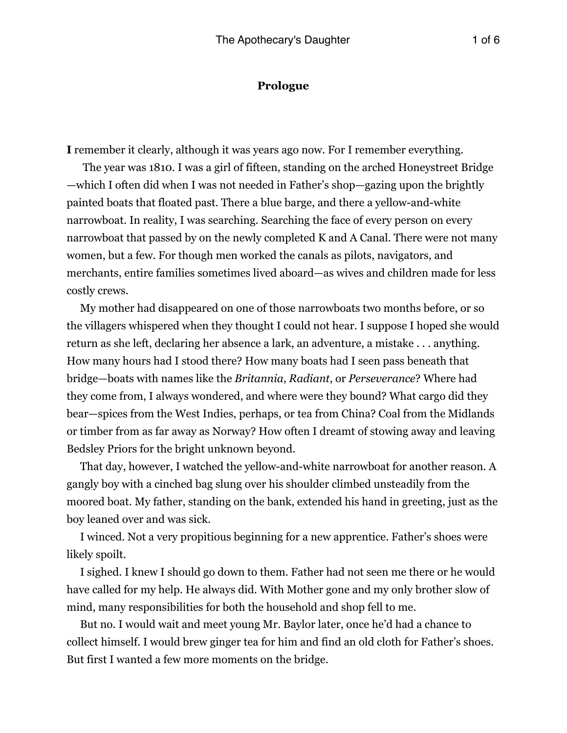## **Prologue**

**I** remember it clearly, although it was years ago now. For I remember everything.

 The year was 1810. I was a girl of fifteen, standing on the arched Honeystreet Bridge —which I often did when I was not needed in Father's shop—gazing upon the brightly painted boats that floated past. There a blue barge, and there a yellow-and-white narrowboat. In reality, I was searching. Searching the face of every person on every narrowboat that passed by on the newly completed K and A Canal. There were not many women, but a few. For though men worked the canals as pilots, navigators, and merchants, entire families sometimes lived aboard—as wives and children made for less costly crews.

 My mother had disappeared on one of those narrowboats two months before, or so the villagers whispered when they thought I could not hear. I suppose I hoped she would return as she left, declaring her absence a lark, an adventure, a mistake . . . anything. How many hours had I stood there? How many boats had I seen pass beneath that bridge—boats with names like the *Britannia*, *Radiant*, or *Perseverance*? Where had they come from, I always wondered, and where were they bound? What cargo did they bear—spices from the West Indies, perhaps, or tea from China? Coal from the Midlands or timber from as far away as Norway? How often I dreamt of stowing away and leaving Bedsley Priors for the bright unknown beyond.

 That day, however, I watched the yellow-and-white narrowboat for another reason. A gangly boy with a cinched bag slung over his shoulder climbed unsteadily from the moored boat. My father, standing on the bank, extended his hand in greeting, just as the boy leaned over and was sick.

 I winced. Not a very propitious beginning for a new apprentice. Father's shoes were likely spoilt.

 I sighed. I knew I should go down to them. Father had not seen me there or he would have called for my help. He always did. With Mother gone and my only brother slow of mind, many responsibilities for both the household and shop fell to me.

 But no. I would wait and meet young Mr. Baylor later, once he'd had a chance to collect himself. I would brew ginger tea for him and find an old cloth for Father's shoes. But first I wanted a few more moments on the bridge.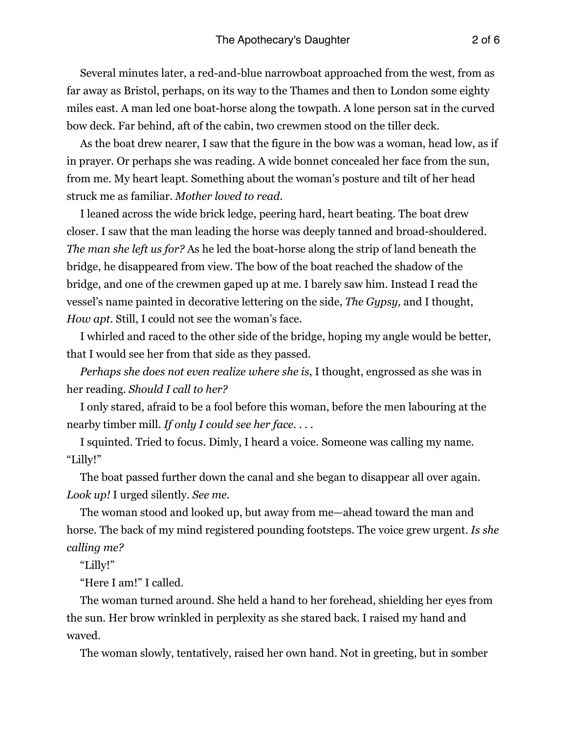Several minutes later, a red-and-blue narrowboat approached from the west, from as far away as Bristol, perhaps, on its way to the Thames and then to London some eighty miles east. A man led one boat-horse along the towpath. A lone person sat in the curved bow deck. Far behind, aft of the cabin, two crewmen stood on the tiller deck.

 As the boat drew nearer, I saw that the figure in the bow was a woman, head low, as if in prayer. Or perhaps she was reading. A wide bonnet concealed her face from the sun, from me. My heart leapt. Something about the woman's posture and tilt of her head struck me as familiar. *Mother loved to read*.

 I leaned across the wide brick ledge, peering hard, heart beating. The boat drew closer. I saw that the man leading the horse was deeply tanned and broad-shouldered. *The man she left us for?* As he led the boat-horse along the strip of land beneath the bridge, he disappeared from view. The bow of the boat reached the shadow of the bridge, and one of the crewmen gaped up at me. I barely saw him. Instead I read the vessel's name painted in decorative lettering on the side, *The Gypsy,* and I thought, *How apt.* Still, I could not see the woman's face.

 I whirled and raced to the other side of the bridge, hoping my angle would be better, that I would see her from that side as they passed.

 *Perhaps she does not even realize where she is*, I thought, engrossed as she was in her reading. *Should I call to her?*

 I only stared, afraid to be a fool before this woman, before the men labouring at the nearby timber mill. *If only I could see her face. . . .*

 I squinted. Tried to focus. Dimly, I heard a voice. Someone was calling my name. "Lilly!"

 The boat passed further down the canal and she began to disappear all over again. *Look up!* I urged silently. *See me.*

 The woman stood and looked up, but away from me—ahead toward the man and horse. The back of my mind registered pounding footsteps. The voice grew urgent. *Is she calling me?*

"Lilly!"

"Here I am!" I called.

 The woman turned around. She held a hand to her forehead, shielding her eyes from the sun. Her brow wrinkled in perplexity as she stared back. I raised my hand and waved.

The woman slowly, tentatively, raised her own hand. Not in greeting, but in somber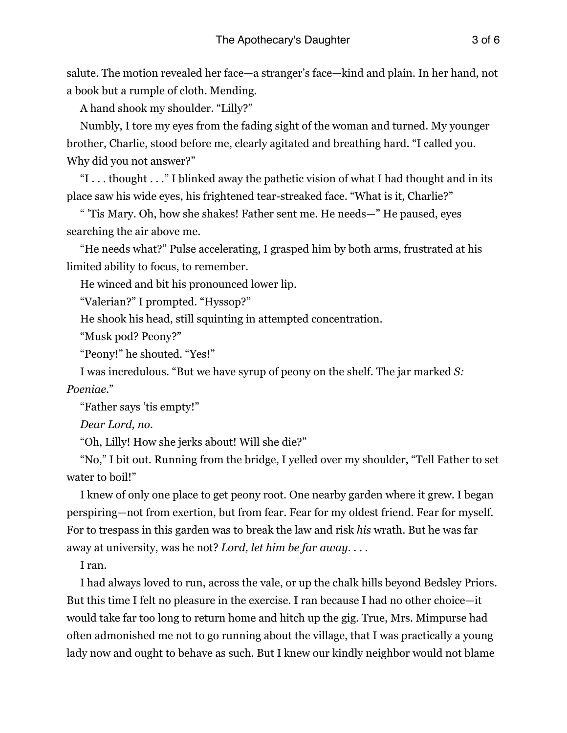salute. The motion revealed her face—a stranger's face—kind and plain. In her hand, not a book but a rumple of cloth. Mending.

A hand shook my shoulder. "Lilly?"

 Numbly, I tore my eyes from the fading sight of the woman and turned. My younger brother, Charlie, stood before me, clearly agitated and breathing hard. "I called you. Why did you not answer?"

 "I . . . thought . . ." I blinked away the pathetic vision of what I had thought and in its place saw his wide eyes, his frightened tear-streaked face. "What is it, Charlie?"

 " 'Tis Mary. Oh, how she shakes! Father sent me. He needs—" He paused, eyes searching the air above me.

 "He needs what?" Pulse accelerating, I grasped him by both arms, frustrated at his limited ability to focus, to remember.

He winced and bit his pronounced lower lip.

"Valerian?" I prompted. "Hyssop?"

He shook his head, still squinting in attempted concentration.

"Musk pod? Peony?"

"Peony!" he shouted. "Yes!"

 I was incredulous. "But we have syrup of peony on the shelf. The jar marked *S: Poeniae*."

"Father says 'tis empty!"

 *Dear Lord, no.*

"Oh, Lilly! How she jerks about! Will she die?"

 "No," I bit out. Running from the bridge, I yelled over my shoulder, "Tell Father to set water to boil!"

 I knew of only one place to get peony root. One nearby garden where it grew. I began perspiring—not from exertion, but from fear. Fear for my oldest friend. Fear for myself. For to trespass in this garden was to break the law and risk *his* wrath. But he was far away at university, was he not? *Lord, let him be far away. . . .*

I ran.

 I had always loved to run, across the vale, or up the chalk hills beyond Bedsley Priors. But this time I felt no pleasure in the exercise. I ran because I had no other choice—it would take far too long to return home and hitch up the gig. True, Mrs. Mimpurse had often admonished me not to go running about the village, that I was practically a young lady now and ought to behave as such. But I knew our kindly neighbor would not blame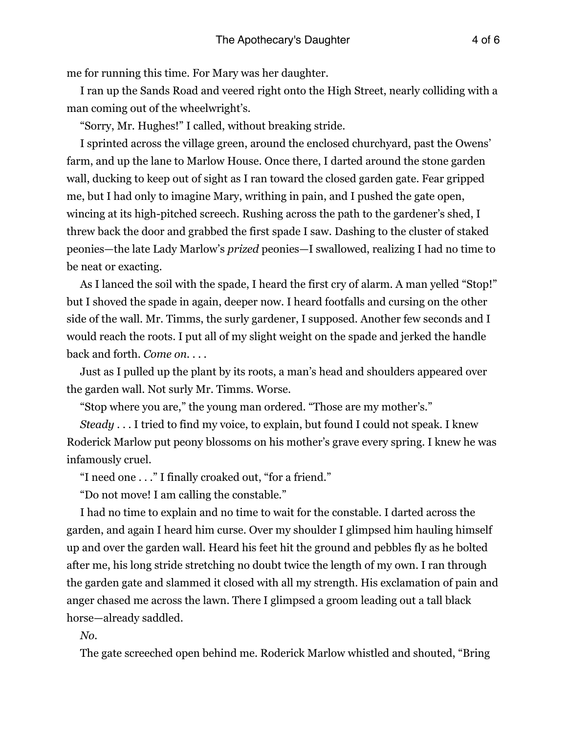me for running this time. For Mary was her daughter.

 I ran up the Sands Road and veered right onto the High Street, nearly colliding with a man coming out of the wheelwright's.

"Sorry, Mr. Hughes!" I called, without breaking stride.

 I sprinted across the village green, around the enclosed churchyard, past the Owens' farm, and up the lane to Marlow House. Once there, I darted around the stone garden wall, ducking to keep out of sight as I ran toward the closed garden gate. Fear gripped me, but I had only to imagine Mary, writhing in pain, and I pushed the gate open, wincing at its high-pitched screech. Rushing across the path to the gardener's shed, I threw back the door and grabbed the first spade I saw. Dashing to the cluster of staked peonies—the late Lady Marlow's *prized* peonies—I swallowed, realizing I had no time to be neat or exacting.

 As I lanced the soil with the spade, I heard the first cry of alarm. A man yelled "Stop!" but I shoved the spade in again, deeper now. I heard footfalls and cursing on the other side of the wall. Mr. Timms, the surly gardener, I supposed. Another few seconds and I would reach the roots. I put all of my slight weight on the spade and jerked the handle back and forth. *Come on. . . .*

 Just as I pulled up the plant by its roots, a man's head and shoulders appeared over the garden wall. Not surly Mr. Timms. Worse.

"Stop where you are," the young man ordered. "Those are my mother's."

 *Steady . . .* I tried to find my voice, to explain, but found I could not speak. I knew Roderick Marlow put peony blossoms on his mother's grave every spring. I knew he was infamously cruel.

"I need one . . ." I finally croaked out, "for a friend."

"Do not move! I am calling the constable."

 I had no time to explain and no time to wait for the constable. I darted across the garden, and again I heard him curse. Over my shoulder I glimpsed him hauling himself up and over the garden wall. Heard his feet hit the ground and pebbles fly as he bolted after me, his long stride stretching no doubt twice the length of my own. I ran through the garden gate and slammed it closed with all my strength. His exclamation of pain and anger chased me across the lawn. There I glimpsed a groom leading out a tall black horse—already saddled.

 *No.*

The gate screeched open behind me. Roderick Marlow whistled and shouted, "Bring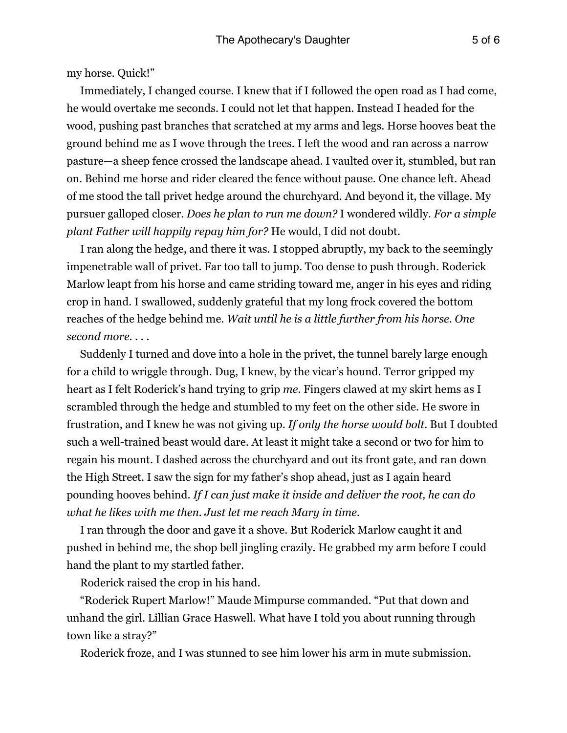my horse. Quick!"

 Immediately, I changed course. I knew that if I followed the open road as I had come, he would overtake me seconds. I could not let that happen. Instead I headed for the wood, pushing past branches that scratched at my arms and legs. Horse hooves beat the ground behind me as I wove through the trees. I left the wood and ran across a narrow pasture—a sheep fence crossed the landscape ahead. I vaulted over it, stumbled, but ran on. Behind me horse and rider cleared the fence without pause. One chance left. Ahead of me stood the tall privet hedge around the churchyard. And beyond it, the village. My pursuer galloped closer. *Does he plan to run me down?* I wondered wildly. *For a simple plant Father will happily repay him for?* He would, I did not doubt.

 I ran along the hedge, and there it was. I stopped abruptly, my back to the seemingly impenetrable wall of privet. Far too tall to jump. Too dense to push through. Roderick Marlow leapt from his horse and came striding toward me, anger in his eyes and riding crop in hand. I swallowed, suddenly grateful that my long frock covered the bottom reaches of the hedge behind me. *Wait until he is a little further from his horse. One second more. . . .*

 Suddenly I turned and dove into a hole in the privet, the tunnel barely large enough for a child to wriggle through. Dug, I knew, by the vicar's hound. Terror gripped my heart as I felt Roderick's hand trying to grip *me*. Fingers clawed at my skirt hems as I scrambled through the hedge and stumbled to my feet on the other side. He swore in frustration, and I knew he was not giving up. *If only the horse would bolt.* But I doubted such a well-trained beast would dare. At least it might take a second or two for him to regain his mount. I dashed across the churchyard and out its front gate, and ran down the High Street. I saw the sign for my father's shop ahead, just as I again heard pounding hooves behind. *If I can just make it inside and deliver the root, he can do what he likes with me then. Just let me reach Mary in time.*

 I ran through the door and gave it a shove. But Roderick Marlow caught it and pushed in behind me, the shop bell jingling crazily. He grabbed my arm before I could hand the plant to my startled father.

Roderick raised the crop in his hand.

 "Roderick Rupert Marlow!" Maude Mimpurse commanded. "Put that down and unhand the girl. Lillian Grace Haswell. What have I told you about running through town like a stray?"

Roderick froze, and I was stunned to see him lower his arm in mute submission.